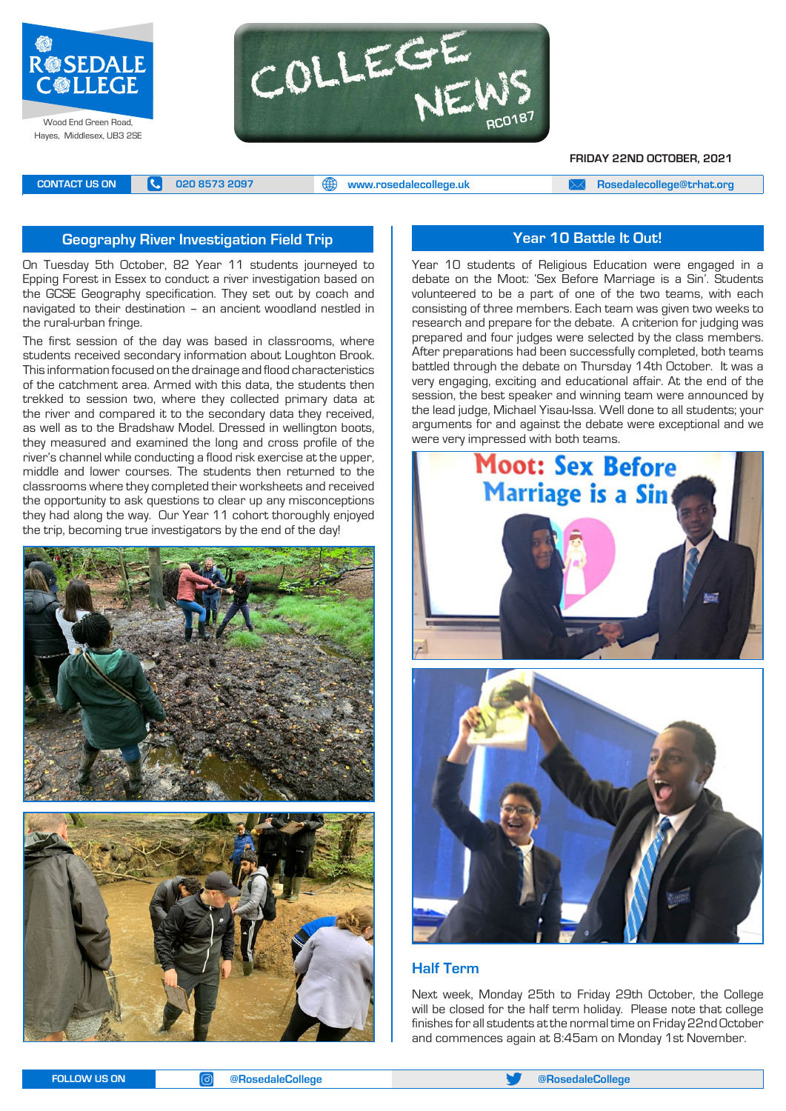



**FRIDAY 22ND OCTOBER, 2021**

**CONTACT US ON <b>C** 020 8573 2097 **C** 020 8573 2097 **CONTACT US ON EXAM** A posedalecollege@trhat.org

# **Geography River Investigation Field Trip Year 10 Battle It Out!**

On Tuesday 5th October, 82 Year 11 students journeyed to Epping Forest in Essex to conduct a river investigation based on the GCSE Geography specification. They set out by coach and navigated to their destination – an ancient woodland nestled in the rural-urban fringe.

The first session of the day was based in classrooms, where students received secondary information about Loughton Brook. This information focused on the drainage and flood characteristics of the catchment area. Armed with this data, the students then trekked to session two, where they collected primary data at the river and compared it to the secondary data they received, as well as to the Bradshaw Model. Dressed in wellington boots, they measured and examined the long and cross profile of the river's channel while conducting a flood risk exercise at the upper, middle and lower courses. The students then returned to the classrooms where they completed their worksheets and received the opportunity to ask questions to clear up any misconceptions they had along the way. Our Year 11 cohort thoroughly enjoyed the trip, becoming true investigators by the end of the day!





Year 10 students of Religious Education were engaged in a debate on the Moot: 'Sex Before Marriage is a Sin'. Students volunteered to be a part of one of the two teams, with each consisting of three members. Each team was given two weeks to research and prepare for the debate. A criterion for judging was prepared and four judges were selected by the class members. After preparations had been successfully completed, both teams battled through the debate on Thursday 14th October. It was a very engaging, exciting and educational affair. At the end of the session, the best speaker and winning team were announced by the lead judge, Michael Yisau-Issa. Well done to all students; your arguments for and against the debate were exceptional and we were very impressed with both teams.



# **Half Term**

Next week, Monday 25th to Friday 29th October, the College will be closed for the half term holiday. Please note that college finishes for all students at the normal time on Friday 22nd October and commences again at 8:45am on Monday 1st November.